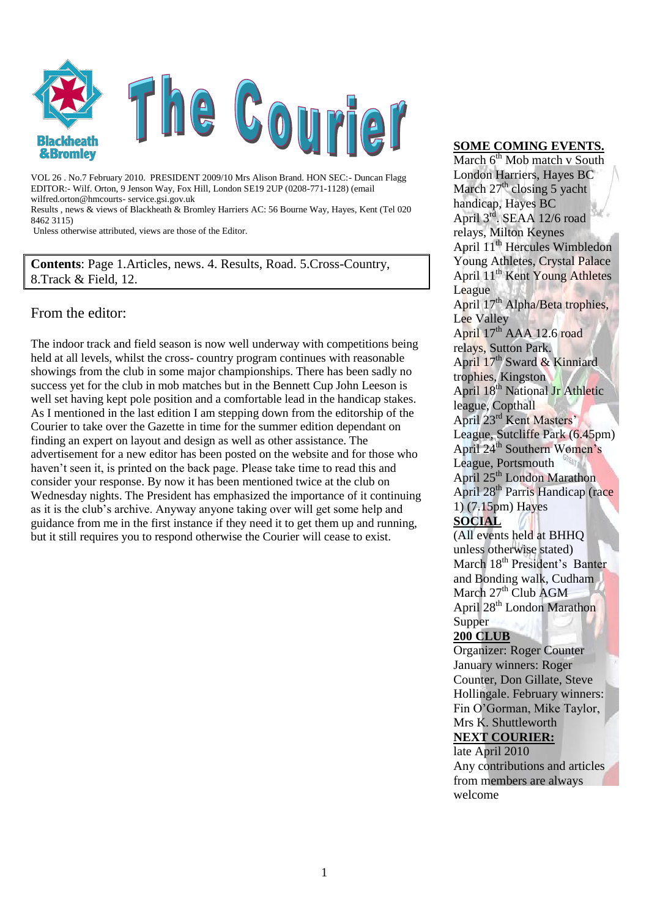

VOL 26 . No.7 February 2010. PRESIDENT 2009/10 Mrs Alison Brand. HON SEC:- Duncan Flagg EDITOR:- Wilf. Orton, 9 Jenson Way, Fox Hill, London SE19 2UP (0208-771-1128) (email wilfred.orton@hmcourts- service.gsi.gov.uk

Results , news & views of Blackheath & Bromley Harriers AC: 56 Bourne Way, Hayes, Kent (Tel 020 8462 3115)

Unless otherwise attributed, views are those of the Editor.

**Contents**: Page 1.Articles, news. 4. Results, Road. 5.Cross-Country, 8.Track & Field, 12.

#### From the editor:

The indoor track and field season is now well underway with competitions being held at all levels, whilst the cross- country program continues with reasonable showings from the club in some major championships. There has been sadly no success yet for the club in mob matches but in the Bennett Cup John Leeson is well set having kept pole position and a comfortable lead in the handicap stakes. As I mentioned in the last edition I am stepping down from the editorship of the Courier to take over the Gazette in time for the summer edition dependant on finding an expert on layout and design as well as other assistance. The advertisement for a new editor has been posted on the website and for those who haven't seen it, is printed on the back page. Please take time to read this and consider your response. By now it has been mentioned twice at the club on Wednesday nights. The President has emphasized the importance of it continuing as it is the club"s archive. Anyway anyone taking over will get some help and guidance from me in the first instance if they need it to get them up and running, but it still requires you to respond otherwise the Courier will cease to exist.

## **SOME COMING EVENTS.**

March 6<sup>th</sup> Mob match v South London Harriers, Hayes BC March  $27<sup>th</sup>$  closing 5 yacht handicap, Hayes BC April 3<sup>rd</sup>. SEAA 12/6 road relays, Milton Keynes April 11th Hercules Wimbledon Young Athletes, Crystal Palace April 11th Kent Young Athletes League April 17<sup>th</sup> Alpha/Beta trophies, Lee Valley April 17<sup>th</sup> AAA 12.6 road relays, Sutton Park. April 17<sup>th</sup> Sward & Kinniard trophies, Kingston April 18th National Jr Athletic league, Copthall April 23rd Kent Masters" League, Sutcliffe Park (6.45pm) April 24th Southern Women"s League, Portsmouth April 25<sup>th</sup> London Marathon April 28th Parris Handicap (race 1) (7.15pm) Hayes **SOCIAL**

(All events held at BHHQ unless otherwise stated) March 18<sup>th</sup> President's Banter and Bonding walk, Cudham March  $27<sup>th</sup>$  Club AGM April 28th London Marathon Supper

#### **200 CLUB**

Organizer: Roger Counter January winners: Roger Counter, Don Gillate, Steve Hollingale. February winners: Fin O"Gorman, Mike Taylor, Mrs K. Shuttleworth **NEXT COURIER:** 

late April 2010 Any contributions and articles from members are always welcome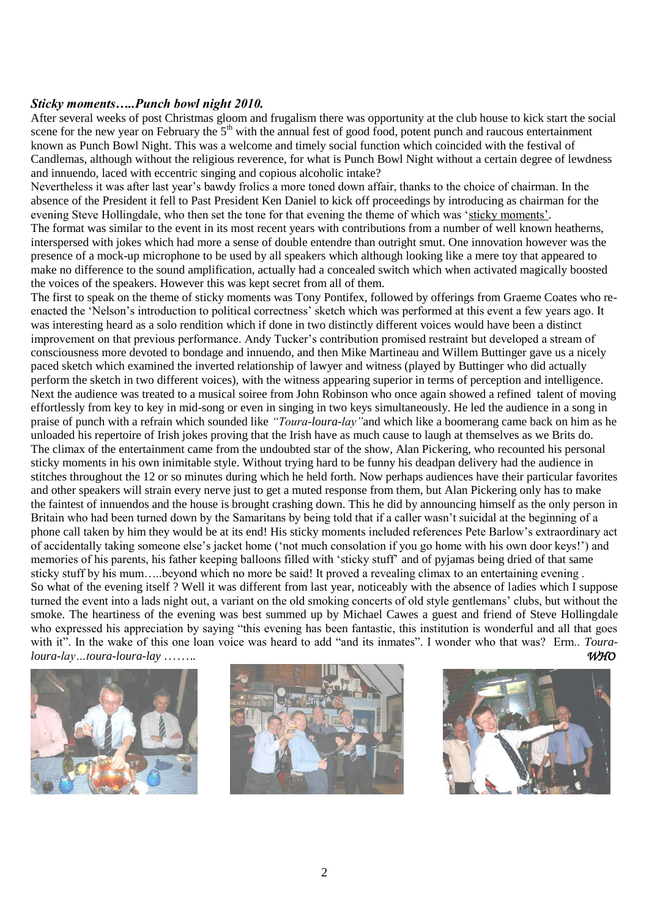#### *Sticky moments…..Punch bowl night 2010.*

After several weeks of post Christmas gloom and frugalism there was opportunity at the club house to kick start the social scene for the new year on February the 5<sup>th</sup> with the annual fest of good food, potent punch and raucous entertainment known as Punch Bowl Night. This was a welcome and timely social function which coincided with the festival of Candlemas, although without the religious reverence, for what is Punch Bowl Night without a certain degree of lewdness and innuendo, laced with eccentric singing and copious alcoholic intake?

Nevertheless it was after last year"s bawdy frolics a more toned down affair, thanks to the choice of chairman. In the absence of the President it fell to Past President Ken Daniel to kick off proceedings by introducing as chairman for the evening Steve Hollingdale, who then set the tone for that evening the theme of which was 'sticky moments'.

The format was similar to the event in its most recent years with contributions from a number of well known heatherns, interspersed with jokes which had more a sense of double entendre than outright smut. One innovation however was the presence of a mock-up microphone to be used by all speakers which although looking like a mere toy that appeared to make no difference to the sound amplification, actually had a concealed switch which when activated magically boosted the voices of the speakers. However this was kept secret from all of them.

The first to speak on the theme of sticky moments was Tony Pontifex, followed by offerings from Graeme Coates who reenacted the "Nelson"s introduction to political correctness" sketch which was performed at this event a few years ago. It was interesting heard as a solo rendition which if done in two distinctly different voices would have been a distinct improvement on that previous performance. Andy Tucker's contribution promised restraint but developed a stream of consciousness more devoted to bondage and innuendo, and then Mike Martineau and Willem Buttinger gave us a nicely paced sketch which examined the inverted relationship of lawyer and witness (played by Buttinger who did actually perform the sketch in two different voices), with the witness appearing superior in terms of perception and intelligence. Next the audience was treated to a musical soiree from John Robinson who once again showed a refined talent of moving effortlessly from key to key in mid-song or even in singing in two keys simultaneously. He led the audience in a song in praise of punch with a refrain which sounded like *"Toura-loura-lay"*and which like a boomerang came back on him as he unloaded his repertoire of Irish jokes proving that the Irish have as much cause to laugh at themselves as we Brits do. The climax of the entertainment came from the undoubted star of the show, Alan Pickering, who recounted his personal sticky moments in his own inimitable style. Without trying hard to be funny his deadpan delivery had the audience in stitches throughout the 12 or so minutes during which he held forth. Now perhaps audiences have their particular favorites and other speakers will strain every nerve just to get a muted response from them, but Alan Pickering only has to make the faintest of innuendos and the house is brought crashing down. This he did by announcing himself as the only person in Britain who had been turned down by the Samaritans by being told that if a caller wasn"t suicidal at the beginning of a phone call taken by him they would be at its end! His sticky moments included references Pete Barlow"s extraordinary act of accidentally taking someone else"s jacket home ("not much consolation if you go home with his own door keys!") and memories of his parents, his father keeping balloons filled with "sticky stuff" and of pyjamas being dried of that same sticky stuff by his mum…..beyond which no more be said! It proved a revealing climax to an entertaining evening . So what of the evening itself ? Well it was different from last year, noticeably with the absence of ladies which I suppose turned the event into a lads night out, a variant on the old smoking concerts of old style gentlemans' clubs, but without the smoke. The heartiness of the evening was best summed up by Michael Cawes a guest and friend of Steve Hollingdale who expressed his appreciation by saying "this evening has been fantastic, this institution is wonderful and all that goes with it". In the wake of this one loan voice was heard to add "and its inmates". I wonder who that was? Erm.. *Touraloura-lay…toura-loura-lay …….. WHO*





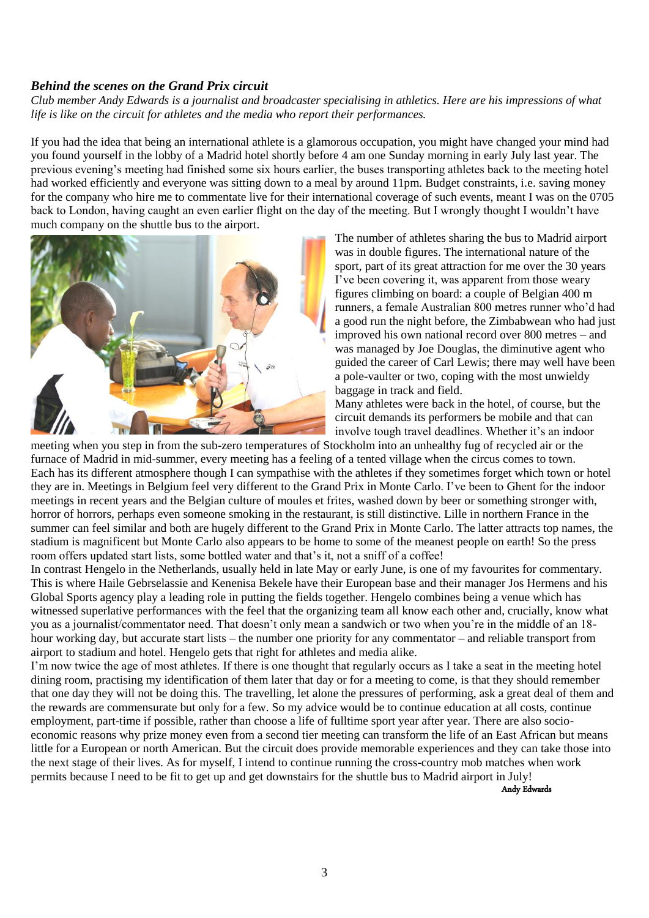#### *Behind the scenes on the Grand Prix circuit*

*Club member Andy Edwards is a journalist and broadcaster specialising in athletics. Here are his impressions of what life is like on the circuit for athletes and the media who report their performances.*

If you had the idea that being an international athlete is a glamorous occupation, you might have changed your mind had you found yourself in the lobby of a Madrid hotel shortly before 4 am one Sunday morning in early July last year. The previous evening's meeting had finished some six hours earlier, the buses transporting athletes back to the meeting hotel had worked efficiently and everyone was sitting down to a meal by around 11pm. Budget constraints, i.e. saving money for the company who hire me to commentate live for their international coverage of such events, meant I was on the 0705 back to London, having caught an even earlier flight on the day of the meeting. But I wrongly thought I wouldn"t have much company on the shuttle bus to the airport.



The number of athletes sharing the bus to Madrid airport was in double figures. The international nature of the sport, part of its great attraction for me over the 30 years I've been covering it, was apparent from those weary figures climbing on board: a couple of Belgian 400 m runners, a female Australian 800 metres runner who"d had a good run the night before, the Zimbabwean who had just improved his own national record over 800 metres – and was managed by Joe Douglas, the diminutive agent who guided the career of Carl Lewis; there may well have been a pole-vaulter or two, coping with the most unwieldy baggage in track and field.

Many athletes were back in the hotel, of course, but the circuit demands its performers be mobile and that can involve tough travel deadlines. Whether it's an indoor

meeting when you step in from the sub-zero temperatures of Stockholm into an unhealthy fug of recycled air or the furnace of Madrid in mid-summer, every meeting has a feeling of a tented village when the circus comes to town. Each has its different atmosphere though I can sympathise with the athletes if they sometimes forget which town or hotel they are in. Meetings in Belgium feel very different to the Grand Prix in Monte Carlo. I"ve been to Ghent for the indoor meetings in recent years and the Belgian culture of moules et frites, washed down by beer or something stronger with, horror of horrors, perhaps even someone smoking in the restaurant, is still distinctive. Lille in northern France in the summer can feel similar and both are hugely different to the Grand Prix in Monte Carlo. The latter attracts top names, the stadium is magnificent but Monte Carlo also appears to be home to some of the meanest people on earth! So the press room offers updated start lists, some bottled water and that's it, not a sniff of a coffee!

In contrast Hengelo in the Netherlands, usually held in late May or early June, is one of my favourites for commentary. This is where Haile Gebrselassie and Kenenisa Bekele have their European base and their manager Jos Hermens and his Global Sports agency play a leading role in putting the fields together. Hengelo combines being a venue which has witnessed superlative performances with the feel that the organizing team all know each other and, crucially, know what you as a journalist/commentator need. That doesn"t only mean a sandwich or two when you"re in the middle of an 18 hour working day, but accurate start lists – the number one priority for any commentator – and reliable transport from airport to stadium and hotel. Hengelo gets that right for athletes and media alike.

I'm now twice the age of most athletes. If there is one thought that regularly occurs as I take a seat in the meeting hotel dining room, practising my identification of them later that day or for a meeting to come, is that they should remember that one day they will not be doing this. The travelling, let alone the pressures of performing, ask a great deal of them and the rewards are commensurate but only for a few. So my advice would be to continue education at all costs, continue employment, part-time if possible, rather than choose a life of fulltime sport year after year. There are also socioeconomic reasons why prize money even from a second tier meeting can transform the life of an East African but means little for a European or north American. But the circuit does provide memorable experiences and they can take those into the next stage of their lives. As for myself, I intend to continue running the cross-country mob matches when work permits because I need to be fit to get up and get downstairs for the shuttle bus to Madrid airport in July!

Andy Edwards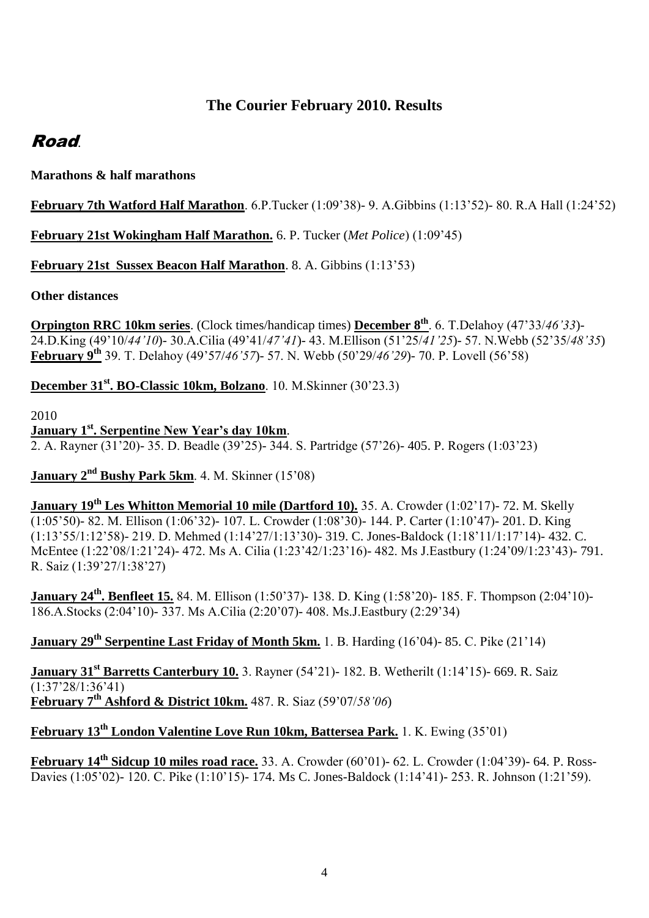# **The Courier February 2010. Results**

# Road.

# **Marathons & half marathons**

# **February 7th Watford Half Marathon**. 6.P.Tucker (1:09"38)- 9. A.Gibbins (1:13"52)- 80. R.A Hall (1:24"52)

**February 21st Wokingham Half Marathon.** 6. P. Tucker (*Met Police*) (1:09"45)

# **February 21st Sussex Beacon Half Marathon**. 8. A. Gibbins (1:13"53)

**Other distances**

**Orpington RRC 10km series**. (Clock times/handicap times) **December 8th**. 6. T.Delahoy (47"33/*46'33*)- 24.D.King (49"10/*44'10*)- 30.A.Cilia (49"41/*47'41*)- 43. M.Ellison (51"25/*41'25*)- 57. N.Webb (52"35/*48'35*) **February 9th** 39. T. Delahoy (49"57/*46'57*)- 57. N. Webb (50"29/*46'29*)- 70. P. Lovell (56"58)

# **December 31st. BO-Classic 10km, Bolzano**. 10. M.Skinner (30"23.3)

2010

**January 1st. Serpentine New Year's day 10km**. 2. A. Rayner (31"20)- 35. D. Beadle (39"25)- 344. S. Partridge (57"26)- 405. P. Rogers (1:03"23)

# **January 2nd Bushy Park 5km**. 4. M. Skinner (15"08)

**January 19th Les Whitton Memorial 10 mile (Dartford 10).** 35. A. Crowder (1:02"17)- 72. M. Skelly (1:05"50)- 82. M. Ellison (1:06"32)- 107. L. Crowder (1:08"30)- 144. P. Carter (1:10"47)- 201. D. King (1:13"55/1:12"58)- 219. D. Mehmed (1:14"27/1:13"30)- 319. C. Jones-Baldock (1:18"11/1:17"14)- 432. C. McEntee (1:22"08/1:21"24)- 472. Ms A. Cilia (1:23"42/1:23"16)- 482. Ms J.Eastbury (1:24"09/1:23"43)- 791. R. Saiz (1:39"27/1:38"27)

**January 24<sup>th</sup>**. Benfleet 15. 84. M. Ellison (1:50'37)- 138. D. King (1:58'20)- 185. F. Thompson (2:04'10)-186.A.Stocks (2:04"10)- 337. Ms A.Cilia (2:20"07)- 408. Ms.J.Eastbury (2:29"34)

# **January 29th Serpentine Last Friday of Month 5km.** 1. B. Harding (16"04)- 85. C. Pike (21"14)

**January 31st Barretts Canterbury 10.** 3. Rayner (54"21)- 182. B. Wetherilt (1:14"15)- 669. R. Saiz  $\sqrt{(1.37^{\prime}28/1.36^{\prime}41)}$ **February 7th Ashford & District 10km.** 487. R. Siaz (59"07/*58'06*)

# **February 13th London Valentine Love Run 10km, Battersea Park.** 1. K. Ewing (35"01)

**February 14th Sidcup 10 miles road race.** 33. A. Crowder (60"01)- 62. L. Crowder (1:04"39)- 64. P. Ross-Davies (1:05"02)- 120. C. Pike (1:10"15)- 174. Ms C. Jones-Baldock (1:14"41)- 253. R. Johnson (1:21"59).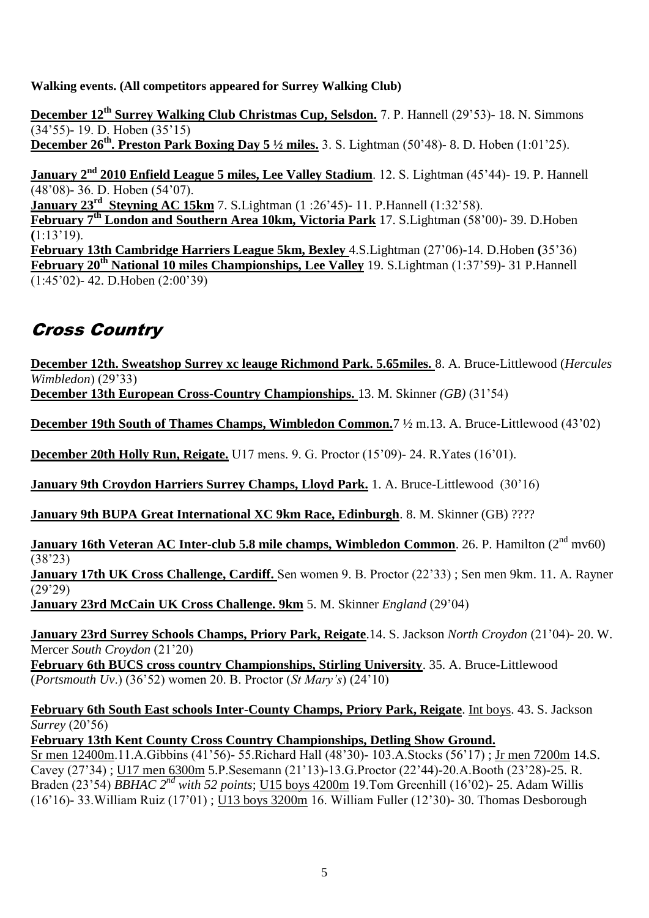**Walking events. (All competitors appeared for Surrey Walking Club)**

**December 12th Surrey Walking Club Christmas Cup, Selsdon.** 7. P. Hannell (29"53)- 18. N. Simmons  $(34'55)$ - 19. D. Hoben  $(35'15)$ **December 26th. Preston Park Boxing Day 5 ½ miles.** 3. S. Lightman (50"48)- 8. D. Hoben (1:01"25).

**January 2nd 2010 Enfield League 5 miles, Lee Valley Stadium**. 12. S. Lightman (45"44)- 19. P. Hannell (48"08)- 36. D. Hoben (54"07). **January 23<sup>rd</sup>** Steyning AC 15km 7. S.Lightman (1:26'45)- 11. P.Hannell (1:32'58). **February 7th London and Southern Area 10km, Victoria Park** 17. S.Lightman (58"00)- 39. D.Hoben **(**1:13"19). **February 13th Cambridge Harriers League 5km, Bexley** 4.S.Lightman (27"06)-14. D.Hoben **(**35"36) **February 20th National 10 miles Championships, Lee Valley** 19. S.Lightman (1:37"59)- 31 P.Hannell (1:45"02)- 42. D.Hoben (2:00"39)

# Cross Country

**December 12th. Sweatshop Surrey xc leauge Richmond Park. 5.65miles.** 8. A. Bruce-Littlewood (*Hercules Wimbledon*) (29"33)

**December 13th European Cross-Country Championships.** 13. M. Skinner *(GB)* (31"54)

**December 19th South of Thames Champs, Wimbledon Common.**7 ½ m.13. A. Bruce-Littlewood (43"02)

**December 20th Holly Run, Reigate.** U17 mens. 9. G. Proctor (15"09)- 24. R.Yates (16"01).

**January 9th Croydon Harriers Surrey Champs, Lloyd Park.** 1. A. Bruce-Littlewood (30"16)

**January 9th BUPA Great International XC 9km Race, Edinburgh**. 8. M. Skinner (GB) ????

**January 16th Veteran AC Inter-club 5.8 mile champs, Wimbledon Common**. 26. P. Hamilton (2<sup>nd</sup> mv60)  $(38'23)$ 

**January 17th UK Cross Challenge, Cardiff.** Sen women 9. B. Proctor (22"33) ; Sen men 9km. 11. A. Rayner  $(29'29)$ 

**January 23rd McCain UK Cross Challenge. 9km** 5. M. Skinner *England* (29"04)

**January 23rd Surrey Schools Champs, Priory Park, Reigate**.14. S. Jackson *North Croydon* (21"04)- 20. W. Mercer *South Croydon* (21"20)

**February 6th BUCS cross country Championships, Stirling University**. 35. A. Bruce-Littlewood (*Portsmouth Uv*.) (36"52) women 20. B. Proctor (*St Mary's*) (24"10)

**February 6th South East schools Inter-County Champs, Priory Park, Reigate**. Int boys. 43. S. Jackson *Surrey* (20"56)

**February 13th Kent County Cross Country Championships, Detling Show Ground.**

Sr men 12400m.11.A.Gibbins (41"56)- 55.Richard Hall (48"30)- 103.A.Stocks (56"17) ; Jr men 7200m 14.S. Cavey (27"34) ; U17 men 6300m 5.P.Sesemann (21"13)-13.G.Proctor (22"44)-20.A.Booth (23"28)-25. R. Braden (23"54) *BBHAC 2nd with 52 points*; U15 boys 4200m 19.Tom Greenhill (16"02)- 25. Adam Willis (16"16)- 33.William Ruiz (17"01) ; U13 boys 3200m 16. William Fuller (12"30)- 30. Thomas Desborough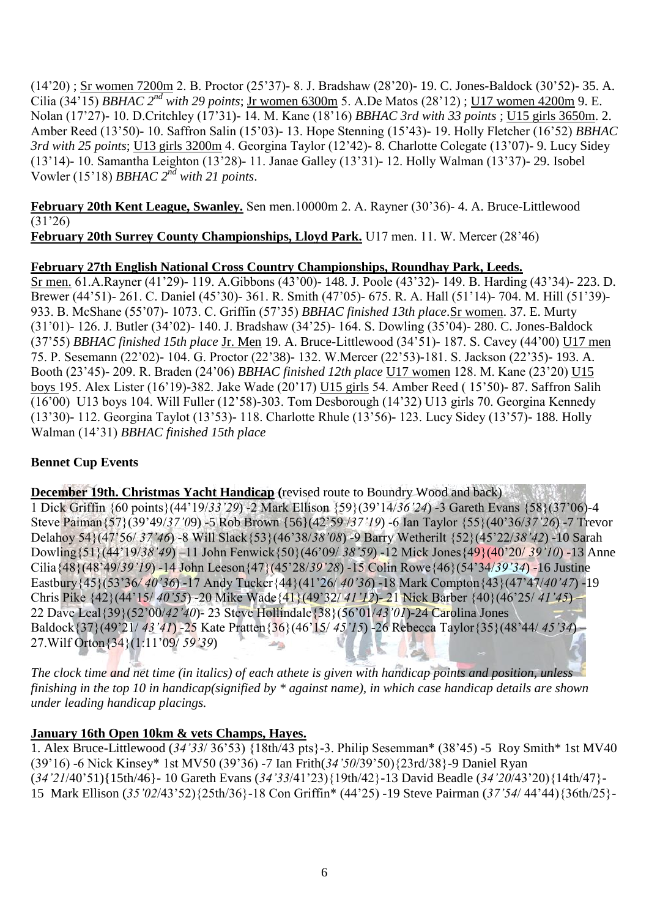(14"20) ; Sr women 7200m 2. B. Proctor (25"37)- 8. J. Bradshaw (28"20)- 19. C. Jones-Baldock (30"52)- 35. A. Cilia (34"15) *BBHAC 2nd with 29 points*; Jr women 6300m 5. A.De Matos (28"12) ; U17 women 4200m 9. E. Nolan (17"27)- 10. D.Critchley (17"31)- 14. M. Kane (18"16) *BBHAC 3rd with 33 points* ; U15 girls 3650m. 2. Amber Reed (13"50)- 10. Saffron Salin (15"03)- 13. Hope Stenning (15"43)- 19. Holly Fletcher (16"52) *BBHAC 3rd with 25 points*; U13 girls 3200m 4. Georgina Taylor (12"42)- 8. Charlotte Colegate (13"07)- 9. Lucy Sidey (13"14)- 10. Samantha Leighton (13"28)- 11. Janae Galley (13"31)- 12. Holly Walman (13"37)- 29. Isobel Vowler (15"18) *BBHAC 2nd with 21 points*.

**February 20th Kent League, Swanley.** Sen men.10000m 2. A. Rayner (30"36)- 4. A. Bruce-Littlewood (31"26)

**February 20th Surrey County Championships, Lloyd Park.** U17 men. 11. W. Mercer (28"46)

# **February 27th English National Cross Country Championships, Roundhay Park, Leeds.**

Sr men. 61.A.Rayner (41"29)- 119. A.Gibbons (43"00)- 148. J. Poole (43"32)- 149. B. Harding (43"34)- 223. D. Brewer (44"51)- 261. C. Daniel (45"30)- 361. R. Smith (47"05)- 675. R. A. Hall (51"14)- 704. M. Hill (51"39)- 933. B. McShane (55"07)- 1073. C. Griffin (57"35) *BBHAC finished 13th place*.Sr women. 37. E. Murty (31"01)- 126. J. Butler (34"02)- 140. J. Bradshaw (34"25)- 164. S. Dowling (35"04)- 280. C. Jones-Baldock (37"55) *BBHAC finished 15th place* Jr. Men 19. A. Bruce-Littlewood (34"51)- 187. S. Cavey (44"00) U17 men 75. P. Sesemann (22"02)- 104. G. Proctor (22"38)- 132. W.Mercer (22"53)-181. S. Jackson (22"35)- 193. A. Booth (23"45)- 209. R. Braden (24"06) *BBHAC finished 12th place* U17 women 128. M. Kane (23"20) U15 boys 195. Alex Lister (16"19)-382. Jake Wade (20"17) U15 girls 54. Amber Reed ( 15"50)- 87. Saffron Salih (16"00) U13 boys 104. Will Fuller (12"58)-303. Tom Desborough (14"32) U13 girls 70. Georgina Kennedy (13"30)- 112. Georgina Taylot (13"53)- 118. Charlotte Rhule (13"56)- 123. Lucy Sidey (13"57)- 188. Holly Walman (14"31) *BBHAC finished 15th place*

# **Bennet Cup Events**

**December 19th. Christmas Yacht Handicap (**revised route to Boundry Wood and back) 1 Dick Griffin {60 points}(44"19/*33'29*) -2 Mark Ellison {59}(39"14/*36'24*) -3 Gareth Evans {58}(37"06)-4 Steve Paiman{57}(39"49/*37'0*9) -5 Rob Brown {56}(42"59 /*37'19*) -6 Ian Taylor {55}(40"36/*37'26*) -7 Trevor Delahoy 54}(47"56/ *37'46*) -8 Will Slack{53}(46"38/*38'08*) -9 Barry Wetherilt {52}(45"22/*38'42*) -10 Sarah Dowling{51}(44"19/*38'49*) –11 John Fenwick{50}(46"09/ *38'59*) -12 Mick Jones{49}(40"20/ *39'10*) -13 Anne Cilia{48}(48"49/*39'19*) -14 John Leeson{47}(45"28/*39'28*) -15 Colin Rowe{46}(54"34/*39'34*) -16 Justine Eastbury{45}(53"36*/ 40'36*) -17 Andy Tucker{44}(41"26/ *40'36*) -18 Mark Compton{43}(47"47/*40'47*) -19 Chris Pike {42}(44"15/ *40'55*) -20 Mike Wade{41}(49"32/ *41'12*)- 21 Nick Barber {40}(46"25/ *41'45*) – 22 Dave Leal{39}(52"00/*42'40*)- 23 Steve Hollindale{38}(56"01/*43'01*)-24 Carolina Jones Baldock{37}(49"21/ *43'41*) -25 Kate Pratten{36}(46"15/ *45'15*) -26 Rebecca Taylor{35}(48"44/ *45'34*) – 27.Wilf Orton{34}(1:11"09/ *59'39*) able.

*The clock time and net time (in italics) of each athete is given with handicap points and position, unless finishing in the top 10 in handicap(signified by \* against name), in which case handicap details are shown under leading handicap placings.*

# **January 16th Open 10km & vets Champs, Hayes.**

1. Alex Bruce-Littlewood (*34'33*/ 36"53) {18th/43 pts}-3. Philip Sesemman\* (38"45) -5 Roy Smith\* 1st MV40 (39"16) -6 Nick Kinsey\* 1st MV50 (39"36) -7 Ian Frith(*34'50*/39"50){23rd/38}-9 Daniel Ryan (*34'21*/40"51){15th/46}- 10 Gareth Evans (*34'33*/41"23){19th/42}-13 David Beadle (*34'20*/43"20){14th/47}- 15 Mark Ellison (*35'02*/43"52){25th/36}-18 Con Griffin\* (44"25) -19 Steve Pairman (*37'54*/ 44"44){36th/25}-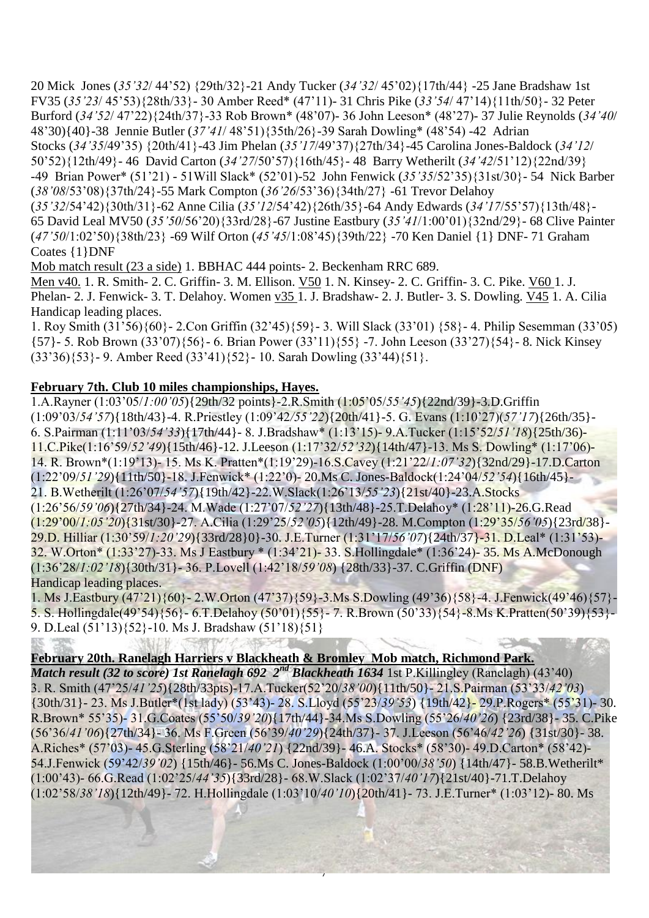20 Mick Jones (*35'32*/ 44"52) {29th/32}-21 Andy Tucker (*34'32*/ 45"02){17th/44} -25 Jane Bradshaw 1st FV35 (*35'23*/ 45"53){28th/33}- 30 Amber Reed\* (47"11)- 31 Chris Pike (*33'54*/ 47"14){11th/50}- 32 Peter Burford (*34'52*/ 47"22){24th/37}-33 Rob Brown\* (48"07)- 36 John Leeson\* (48"27)- 37 Julie Reynolds (*34'40*/ 48"30){40}-38 Jennie Butler (*37'41*/ 48"51){35th/26}-39 Sarah Dowling\* (48"54) -42 Adrian Stocks (*34'35*/49"35) {20th/41}-43 Jim Phelan (*35'17*/49"37){27th/34}-45 Carolina Jones-Baldock (*34'12*/ 50"52){12th/49}- 46 David Carton (*34'27*/50"57){16th/45}- 48 Barry Wetherilt (*34'42*/51"12){22nd/39} -49 Brian Power\* (51"21) - 51Will Slack\* (52"01)-52 John Fenwick (*35'35*/52"35){31st/30}- 54 Nick Barber (*38'08*/53"08){37th/24}-55 Mark Compton (*36'26*/53"36){34th/27} -61 Trevor Delahoy (*35'32*/54"42){30th/31}-62 Anne Cilia (*35'12*/54"42){26th/35}-64 Andy Edwards (*34'17*/55"57){13th/48}- 65 David Leal MV50 (*35'50*/56"20){33rd/28}-67 Justine Eastbury (*35'41*/1:00"01){32nd/29}- 68 Clive Painter (*47'50*/1:02"50){38th/23} -69 Wilf Orton (*45'45*/1:08"45){39th/22} -70 Ken Daniel {1} DNF- 71 Graham Coates {1}DNF

Mob match result (23 a side) 1. BBHAC 444 points- 2. Beckenham RRC 689.

Men v40. 1. R. Smith- 2. C. Griffin- 3. M. Ellison. V50 1. N. Kinsey- 2. C. Griffin- 3. C. Pike. V60 1. J. Phelan- 2. J. Fenwick- 3. T. Delahoy. Women v35 1. J. Bradshaw- 2. J. Butler- 3. S. Dowling. V45 1. A. Cilia Handicap leading places.

1. Roy Smith (31"56){60}- 2.Con Griffin (32"45){59}- 3. Will Slack (33"01) {58}- 4. Philip Sesemman (33"05) {57}- 5. Rob Brown (33"07){56}- 6. Brian Power (33"11){55} -7. John Leeson (33"27){54}- 8. Nick Kinsey  $(33'36)\{53\}$ - 9. Amber Reed  $(33'41)\{52\}$ - 10. Sarah Dowling  $(33'44)\{51\}$ .

# **February 7th. Club 10 miles championships, Hayes.**

1.A.Rayner (1:03"05/*1:00'05*){29th/32 points}-2.R.Smith (1:05"05/*55'45*){22nd/39}-3.D.Griffin (1:09"03/*54'57*){18th/43}-4. R.Priestley (1:09"42*/55'22*){20th/41}-5. G. Evans (1:10"27)(*57'17*){26th/35}- 6. S.Pairman (1:11"03/*54'33*){17th/44}- 8. J.Bradshaw\* (1:13"15)- 9.A.Tucker (1:15"52/*51'18*){25th/36)- 11.C.Pike(1:16"59/*52'49*){15th/46}-12. J.Leeson (1:17"32/*52'32*){14th/47}-13. Ms S. Dowling\* (1:17"06)- 14. R. Brown\*(1:19"13)- 15. Ms K. Pratten\*(1:19"29)-16.S.Cavey (1:21"22/*1:07'32*){32nd/29}-17.D.Carton (1:22"09/*51'29*){11th/50}-18. J.Fenwick\* (1:22"0)- 20.Ms C. Jones-Baldock(1:24"04/*52'54*){16th/45}- 21. B.Wetherilt (1:26"07/*54'57*){19th/42}-22.W.Slack(1:26"13/*55'23*){21st/40}-23.A.Stocks (1:26"56/*59'06*){27th/34}-24. M.Wade (1:27"07/*52'27*){13th/48}-25.T.Delahoy\* (1:28"11)-26.G.Read (1:29"00/*1:05'20*){31st/30}-27. A.Cilia (1:29"25/*52'05*){12th/49}-28. M.Compton (1:29"35/*56'05*){23rd/38}- 29.D. Hilliar (1:30"59/*1:20'29*){33rd/28}0}-30. J.E.Turner (1:31"17/*56'07*){24th/37}-31. D.Leal\* (1:31"53)- 32. W.Orton\* (1:33"27)-33. Ms J Eastbury \* (1:34"21)- 33. S.Hollingdale\* (1:36"24)- 35. Ms A.McDonough (1:36"28/*1:02'18*){30th/31}- 36. P.Lovell (1:42"18/*59'08*) {28th/33}-37. C.Griffin (DNF) Handicap leading places.

1. Ms J.Eastbury (47"21){60}- 2.W.Orton (47"37){59}-3.Ms S.Dowling (49"36){58}-4. J.Fenwick(49"46){57}- 5. S. Hollingdale(49"54){56}- 6.T.Delahoy (50"01){55}- 7. R.Brown (50"33){54}-8.Ms K.Pratten(50"39){53}- 9. D.Leal (51"13){52}-10. Ms J. Bradshaw (51"18){51}

# **February 20th. Ranelagh Harriers v Blackheath & Bromley Mob match, Richmond Park.**

*Match result (32 to score) 1st Ranelagh 692 2<sup>nd</sup> Blackheath 1634* 1st P.Killingley (Ranelagh) (43'40) 3. R. Smith (47"25/*41'25*){28th/33pts)-17.A.Tucker(52"20/*38'00*){11th/50}- 21.S.Pairman (53"33/*42'03*) {30th/31}- 23. Ms J.Butler\*(1st lady) (53"43)- 28. S.Lloyd (55"23/*39'53*) {19th/42}- 29.P.Rogers\* (55"31)- 30. R.Brown\* 55"35)- 31.G.Coates (55"50/*39'20*){17th/44}-34.Ms S.Dowling (55"26/*40'26*) {23rd/38}- 35. C.Pike (56"36/*41'06*){27th/34}- 36. Ms F.Green (56"39/*40'29*){24th/37}- 37. J.Leeson (56"46/*42'26*) {31st/30}- 38. A.Riches\* (57"03)- 45.G.Sterling (58"21/*40'21*) {22nd/39}- 46.A. Stocks\* (58"30)- 49.D.Carton\* (58"42)- 54.J.Fenwick (59"42/*39'02*) {15th/46}- 56.Ms C. Jones-Baldock (1:00"00/*38'50*) {14th/47}- 58.B.Wetherilt\* (1:00"43)- 66.G.Read (1:02"25/*44'35*){33rd/28}- 68.W.Slack (1:02"37/*40'17*){21st/40}-71.T.Delahoy (1:02"58/*38'18*){12th/49}- 72. H.Hollingdale (1:03"10/*40'10*){20th/41}- 73. J.E.Turner\* (1:03"12)- 80. Ms

7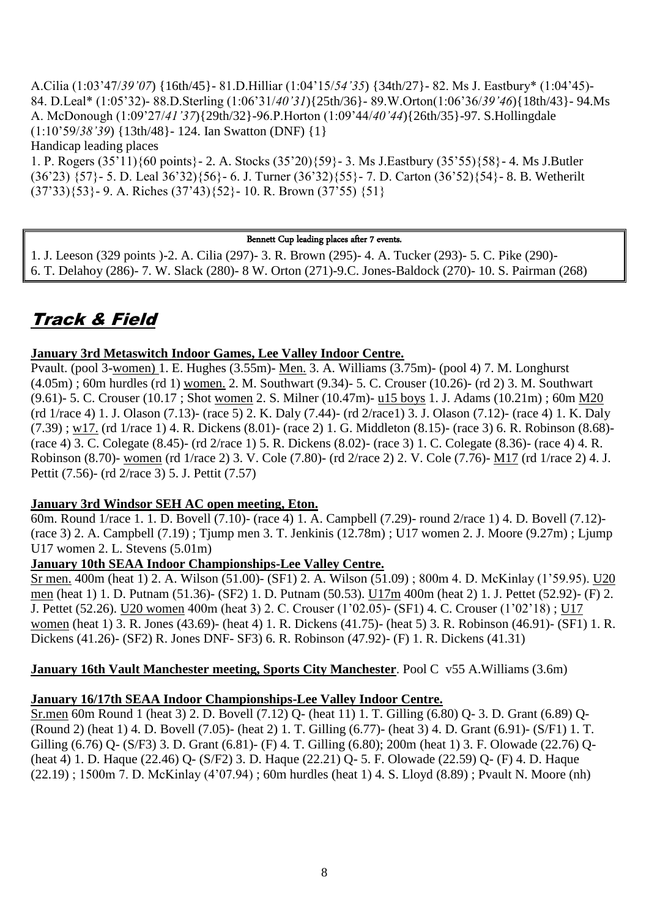A.Cilia (1:03"47/*39'07*) {16th/45}- 81.D.Hilliar (1:04"15/*54'35*) {34th/27}- 82. Ms J. Eastbury\* (1:04"45)- 84. D.Leal\* (1:05"32)- 88.D.Sterling (1:06"31/*40'31*){25th/36}- 89.W.Orton(1:06"36/*39'46*){18th/43}- 94.Ms A. McDonough (1:09"27/*41'37*){29th/32}-96.P.Horton (1:09"44/*40'44*){26th/35}-97. S.Hollingdale (1:10"59/*38'39*) {13th/48}- 124. Ian Swatton (DNF) {1} Handicap leading places

1. P. Rogers (35"11){60 points}- 2. A. Stocks (35"20){59}- 3. Ms J.Eastbury (35"55){58}- 4. Ms J.Butler (36"23) {57}- 5. D. Leal 36"32){56}- 6. J. Turner (36"32){55}- 7. D. Carton (36"52){54}- 8. B. Wetherilt  $(37'33)\{53\}$ - 9. A. Riches  $(37'43)\{52\}$ - 10. R. Brown  $(37'55)\{51\}$ 

#### Bennett Cup leading places after 7 events.

1. J. Leeson (329 points )-2. A. Cilia (297)- 3. R. Brown (295)- 4. A. Tucker (293)- 5. C. Pike (290)- 6. T. Delahoy (286)- 7. W. Slack (280)- 8 W. Orton (271)-9.C. Jones-Baldock (270)- 10. S. Pairman (268)

# Track & Field

#### **January 3rd Metaswitch Indoor Games, Lee Valley Indoor Centre.**

Pvault. (pool 3-women) 1. E. Hughes (3.55m)- Men. 3. A. Williams (3.75m)- (pool 4) 7. M. Longhurst (4.05m) ; 60m hurdles (rd 1) women. 2. M. Southwart (9.34)- 5. C. Crouser (10.26)- (rd 2) 3. M. Southwart (9.61)- 5. C. Crouser (10.17 ; Shot women 2. S. Milner (10.47m)- u15 boys 1. J. Adams (10.21m) ; 60m M20 (rd 1/race 4) 1. J. Olason (7.13)- (race 5) 2. K. Daly (7.44)- (rd 2/race1) 3. J. Olason (7.12)- (race 4) 1. K. Daly (7.39) ; w17. (rd 1/race 1) 4. R. Dickens (8.01)- (race 2) 1. G. Middleton (8.15)- (race 3) 6. R. Robinson (8.68)- (race 4) 3. C. Colegate (8.45)- (rd 2/race 1) 5. R. Dickens (8.02)- (race 3) 1. C. Colegate (8.36)- (race 4) 4. R. Robinson (8.70)- women (rd 1/race 2) 3. V. Cole (7.80)- (rd 2/race 2) 2. V. Cole (7.76)- M17 (rd 1/race 2) 4. J. Pettit (7.56)- (rd 2/race 3) 5. J. Pettit (7.57)

## **January 3rd Windsor SEH AC open meeting, Eton.**

60m. Round 1/race 1. 1. D. Bovell (7.10)- (race 4) 1. A. Campbell (7.29)- round 2/race 1) 4. D. Bovell (7.12)- (race 3) 2. A. Campbell (7.19) ; Tjump men 3. T. Jenkinis (12.78m) ; U17 women 2. J. Moore (9.27m) ; Ljump U17 women 2. L. Stevens (5.01m)

## **January 10th SEAA Indoor Championships-Lee Valley Centre.**

Sr men. 400m (heat 1) 2. A. Wilson (51.00)- (SF1) 2. A. Wilson (51.09) ; 800m 4. D. McKinlay (1"59.95). U20 men (heat 1) 1. D. Putnam (51.36)- (SF2) 1. D. Putnam (50.53). U17m 400m (heat 2) 1. J. Pettet (52.92)- (F) 2. J. Pettet (52.26). U20 women 400m (heat 3) 2. C. Crouser (1"02.05)- (SF1) 4. C. Crouser (1"02"18) ; U17 women (heat 1) 3. R. Jones (43.69)- (heat 4) 1. R. Dickens (41.75)- (heat 5) 3. R. Robinson (46.91)- (SF1) 1. R. Dickens (41.26)- (SF2) R. Jones DNF- SF3) 6. R. Robinson (47.92)- (F) 1. R. Dickens (41.31)

## **January 16th Vault Manchester meeting, Sports City Manchester**. Pool C v55 A. Williams (3.6m)

## **January 16/17th SEAA Indoor Championships-Lee Valley Indoor Centre.**

Sr.men 60m Round 1 (heat 3) 2. D. Bovell (7.12) Q- (heat 11) 1. T. Gilling (6.80) Q- 3. D. Grant (6.89) Q- (Round 2) (heat 1) 4. D. Bovell (7.05)- (heat 2) 1. T. Gilling (6.77)- (heat 3) 4. D. Grant (6.91)- (S/F1) 1. T. Gilling (6.76) Q- (S/F3) 3. D. Grant (6.81)- (F) 4. T. Gilling (6.80); 200m (heat 1) 3. F. Olowade (22.76) Q- (heat 4) 1. D. Haque (22.46) Q- (S/F2) 3. D. Haque (22.21) Q- 5. F. Olowade (22.59) Q- (F) 4. D. Haque (22.19) ; 1500m 7. D. McKinlay (4"07.94) ; 60m hurdles (heat 1) 4. S. Lloyd (8.89) ; Pvault N. Moore (nh)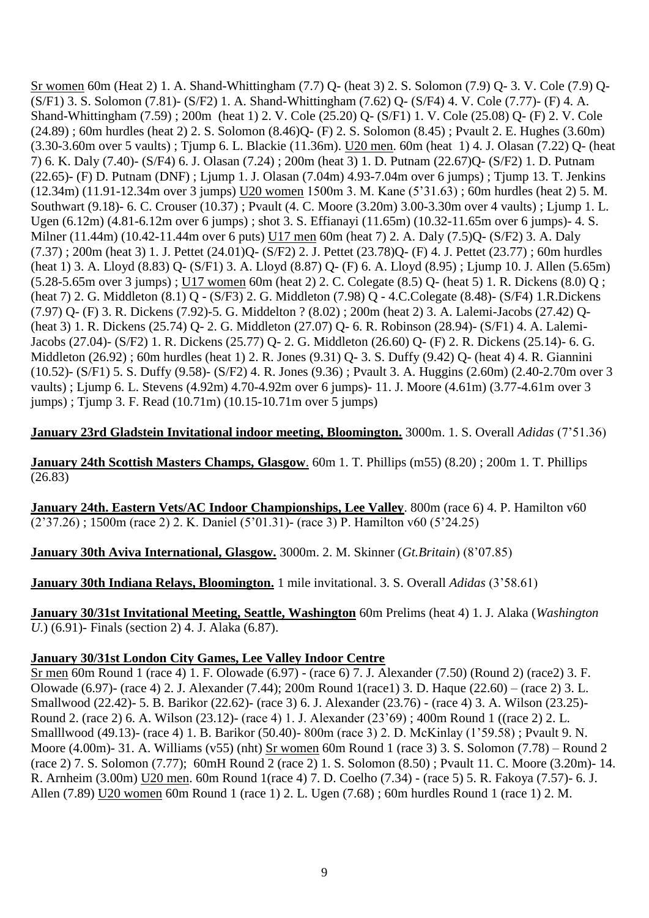Sr women 60m (Heat 2) 1. A. Shand-Whittingham (7.7) Q- (heat 3) 2. S. Solomon (7.9) Q- 3. V. Cole (7.9) Q- (S/F1) 3. S. Solomon (7.81)- (S/F2) 1. A. Shand-Whittingham (7.62) Q- (S/F4) 4. V. Cole (7.77)- (F) 4. A. Shand-Whittingham (7.59) ; 200m (heat 1) 2. V. Cole (25.20) Q- (S/F1) 1. V. Cole (25.08) Q- (F) 2. V. Cole (24.89) ; 60m hurdles (heat 2) 2. S. Solomon (8.46)Q- (F) 2. S. Solomon (8.45) ; Pvault 2. E. Hughes (3.60m) (3.30-3.60m over 5 vaults) ; Tjump 6. L. Blackie (11.36m). U20 men. 60m (heat 1) 4. J. Olasan (7.22) Q- (heat 7) 6. K. Daly (7.40)- (S/F4) 6. J. Olasan (7.24) ; 200m (heat 3) 1. D. Putnam (22.67)Q- (S/F2) 1. D. Putnam (22.65)- (F) D. Putnam (DNF) ; Ljump 1. J. Olasan (7.04m) 4.93-7.04m over 6 jumps) ; Tjump 13. T. Jenkins (12.34m) (11.91-12.34m over 3 jumps) U20 women 1500m 3. M. Kane (5"31.63) ; 60m hurdles (heat 2) 5. M. Southwart (9.18)- 6. C. Crouser (10.37) ; Pvault (4. C. Moore (3.20m) 3.00-3.30m over 4 vaults) ; Ljump 1. L. Ugen (6.12m) (4.81-6.12m over 6 jumps) ; shot 3. S. Effianayi (11.65m) (10.32-11.65m over 6 jumps)- 4. S. Milner (11.44m) (10.42-11.44m over 6 puts) U17 men 60m (heat 7) 2. A. Daly (7.5)Q- (S/F2) 3. A. Daly (7.37) ; 200m (heat 3) 1. J. Pettet (24.01)Q- (S/F2) 2. J. Pettet (23.78)Q- (F) 4. J. Pettet (23.77) ; 60m hurdles (heat 1) 3. A. Lloyd (8.83) Q- (S/F1) 3. A. Lloyd (8.87) Q- (F) 6. A. Lloyd (8.95) ; Ljump 10. J. Allen (5.65m) (5.28-5.65m over 3 jumps) ; U17 women 60m (heat 2) 2. C. Colegate (8.5) Q- (heat 5) 1. R. Dickens (8.0) Q ; (heat 7) 2. G. Middleton (8.1) Q - (S/F3) 2. G. Middleton (7.98) Q - 4.C.Colegate (8.48)- (S/F4) 1.R.Dickens (7.97) Q- (F) 3. R. Dickens (7.92)-5. G. Middelton ? (8.02) ; 200m (heat 2) 3. A. Lalemi-Jacobs (27.42) Q- (heat 3) 1. R. Dickens (25.74) Q- 2. G. Middleton (27.07) Q- 6. R. Robinson (28.94)- (S/F1) 4. A. Lalemi-Jacobs (27.04)- (S/F2) 1. R. Dickens (25.77) Q- 2. G. Middleton (26.60) Q- (F) 2. R. Dickens (25.14)- 6. G. Middleton (26.92) ; 60m hurdles (heat 1) 2. R. Jones (9.31) Q- 3. S. Duffy (9.42) Q- (heat 4) 4. R. Giannini (10.52)- (S/F1) 5. S. Duffy (9.58)- (S/F2) 4. R. Jones (9.36) ; Pvault 3. A. Huggins (2.60m) (2.40-2.70m over 3 vaults) ; Ljump 6. L. Stevens (4.92m) 4.70-4.92m over 6 jumps)- 11. J. Moore (4.61m) (3.77-4.61m over 3 jumps) ; Tjump 3. F. Read (10.71m) (10.15-10.71m over 5 jumps)

**January 23rd Gladstein Invitational indoor meeting, Bloomington.** 3000m. 1. S. Overall *Adidas* (7"51.36)

**January 24th Scottish Masters Champs, Glasgow**. 60m 1. T. Phillips (m55) (8.20) ; 200m 1. T. Phillips (26.83)

**January 24th. Eastern Vets/AC Indoor Championships, Lee Valley**. 800m (race 6) 4. P. Hamilton v60 (2"37.26) ; 1500m (race 2) 2. K. Daniel (5"01.31)- (race 3) P. Hamilton v60 (5"24.25)

**January 30th Aviva International, Glasgow.** 3000m. 2. M. Skinner (*Gt.Britain*) (8"07.85)

**January 30th Indiana Relays, Bloomington.** 1 mile invitational. 3. S. Overall *Adidas* (3"58.61)

**January 30/31st Invitational Meeting, Seattle, Washington** 60m Prelims (heat 4) 1. J. Alaka (*Washington U.*) (6.91)- Finals (section 2) 4. J. Alaka (6.87).

#### **January 30/31st London City Games, Lee Valley Indoor Centre**

Sr men 60m Round 1 (race 4) 1. F. Olowade (6.97) - (race 6) 7. J. Alexander (7.50) (Round 2) (race2) 3. F. Olowade (6.97)- (race 4) 2. J. Alexander (7.44); 200m Round 1(race1) 3. D. Haque (22.60) – (race 2) 3. L. Smallwood (22.42)- 5. B. Barikor (22.62)- (race 3) 6. J. Alexander (23.76) - (race 4) 3. A. Wilson (23.25)- Round 2. (race 2) 6. A. Wilson (23.12)- (race 4) 1. J. Alexander (23"69) ; 400m Round 1 ((race 2) 2. L. Smalllwood (49.13)- (race 4) 1. B. Barikor (50.40)- 800m (race 3) 2. D. McKinlay (1"59.58) ; Pvault 9. N. Moore (4.00m)- 31. A. Williams (v55) (nht) Sr women 60m Round 1 (race 3) 3. S. Solomon (7.78) – Round 2 (race 2) 7. S. Solomon (7.77); 60mH Round 2 (race 2) 1. S. Solomon (8.50) ; Pvault 11. C. Moore (3.20m)- 14. R. Arnheim (3.00m) U20 men. 60m Round 1(race 4) 7. D. Coelho (7.34) - (race 5) 5. R. Fakoya (7.57)- 6. J. Allen (7.89) U20 women 60m Round 1 (race 1) 2. L. Ugen (7.68) ; 60m hurdles Round 1 (race 1) 2. M.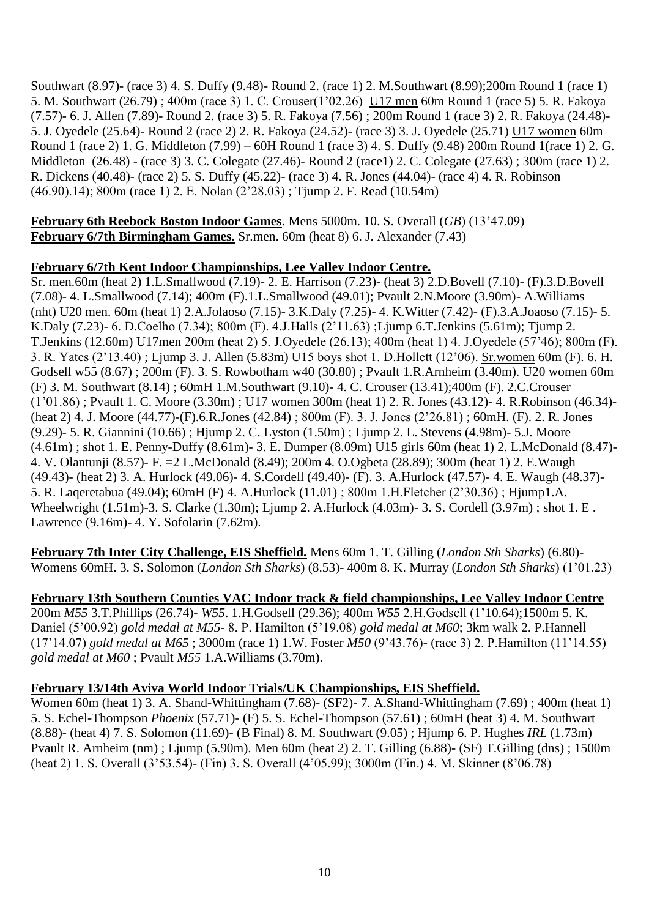Southwart (8.97)- (race 3) 4. S. Duffy (9.48)- Round 2. (race 1) 2. M.Southwart (8.99);200m Round 1 (race 1) 5. M. Southwart (26.79) ; 400m (race 3) 1. C. Crouser(1"02.26) U17 men 60m Round 1 (race 5) 5. R. Fakoya (7.57)- 6. J. Allen (7.89)- Round 2. (race 3) 5. R. Fakoya (7.56) ; 200m Round 1 (race 3) 2. R. Fakoya (24.48)- 5. J. Oyedele (25.64)- Round 2 (race 2) 2. R. Fakoya (24.52)- (race 3) 3. J. Oyedele (25.71) U17 women 60m Round 1 (race 2) 1. G. Middleton (7.99) – 60H Round 1 (race 3) 4. S. Duffy (9.48) 200m Round 1(race 1) 2. G. Middleton (26.48) - (race 3) 3. C. Colegate (27.46)- Round 2 (race1) 2. C. Colegate (27.63) ; 300m (race 1) 2. R. Dickens (40.48)- (race 2) 5. S. Duffy (45.22)- (race 3) 4. R. Jones (44.04)- (race 4) 4. R. Robinson (46.90).14); 800m (race 1) 2. E. Nolan (2"28.03) ; Tjump 2. F. Read (10.54m)

**February 6th Reebock Boston Indoor Games**. Mens 5000m. 10. S. Overall (*GB*) (13"47.09) **February 6/7th Birmingham Games.** Sr.men. 60m (heat 8) 6. J. Alexander (7.43)

## **February 6/7th Kent Indoor Championships, Lee Valley Indoor Centre.**

Sr. men.60m (heat 2) 1.L.Smallwood (7.19)- 2. E. Harrison (7.23)- (heat 3) 2.D.Bovell (7.10)- (F).3.D.Bovell (7.08)- 4. L.Smallwood (7.14); 400m (F).1.L.Smallwood (49.01); Pvault 2.N.Moore (3.90m)- A.Williams (nht) U20 men. 60m (heat 1) 2.A.Jolaoso (7.15)- 3.K.Daly (7.25)- 4. K.Witter (7.42)- (F).3.A.Joaoso (7.15)- 5. K.Daly (7.23)- 6. D.Coelho (7.34); 800m (F). 4.J.Halls (2"11.63) ;Ljump 6.T.Jenkins (5.61m); Tjump 2. T.Jenkins (12.60m) U17men 200m (heat 2) 5. J.Oyedele (26.13); 400m (heat 1) 4. J.Oyedele (57"46); 800m (F). 3. R. Yates (2"13.40) ; Ljump 3. J. Allen (5.83m) U15 boys shot 1. D.Hollett (12"06). Sr.women 60m (F). 6. H. Godsell w55 (8.67) ; 200m (F). 3. S. Rowbotham w40 (30.80) ; Pvault 1.R.Arnheim (3.40m). U20 women 60m (F) 3. M. Southwart (8.14) ; 60mH 1.M.Southwart (9.10)- 4. C. Crouser (13.41);400m (F). 2.C.Crouser (1"01.86) ; Pvault 1. C. Moore (3.30m) ; U17 women 300m (heat 1) 2. R. Jones (43.12)- 4. R.Robinson (46.34)- (heat 2) 4. J. Moore (44.77)-(F).6.R.Jones (42.84) ; 800m (F). 3. J. Jones (2"26.81) ; 60mH. (F). 2. R. Jones (9.29)- 5. R. Giannini (10.66) ; Hjump 2. C. Lyston (1.50m) ; Ljump 2. L. Stevens (4.98m)- 5.J. Moore (4.61m) ; shot 1. E. Penny-Duffy (8.61m)- 3. E. Dumper (8.09m) U15 girls 60m (heat 1) 2. L.McDonald (8.47)- 4. V. Olantunji (8.57)- F. =2 L.McDonald (8.49); 200m 4. O.Ogbeta (28.89); 300m (heat 1) 2. E.Waugh (49.43)- (heat 2) 3. A. Hurlock (49.06)- 4. S.Cordell (49.40)- (F). 3. A.Hurlock (47.57)- 4. E. Waugh (48.37)- 5. R. Laqeretabua (49.04); 60mH (F) 4. A.Hurlock (11.01) ; 800m 1.H.Fletcher (2"30.36) ; Hjump1.A. Wheelwright (1.51m)-3. S. Clarke (1.30m); Ljump 2. A.Hurlock (4.03m)- 3. S. Cordell (3.97m) ; shot 1. E . Lawrence (9.16m)- 4. Y. Sofolarin (7.62m).

**February 7th Inter City Challenge, EIS Sheffield.** Mens 60m 1. T. Gilling (*London Sth Sharks*) (6.80)- Womens 60mH. 3. S. Solomon (*London Sth Sharks*) (8.53)- 400m 8. K. Murray (*London Sth Sharks*) (1"01.23)

**February 13th Southern Counties VAC Indoor track & field championships, Lee Valley Indoor Centre** 200m *M55* 3.T.Phillips (26.74)- *W55*. 1.H.Godsell (29.36); 400m *W55* 2.H.Godsell (1"10.64);1500m 5. K. Daniel (5"00.92) *gold medal at M55*- 8. P. Hamilton (5"19.08) *gold medal at M60*; 3km walk 2. P.Hannell (17"14.07) *gold medal at M65* ; 3000m (race 1) 1.W. Foster *M50* (9"43.76)- (race 3) 2. P.Hamilton (11"14.55) *gold medal at M60* ; Pvault *M55* 1.A.Williams (3.70m).

# **February 13/14th Aviva World Indoor Trials/UK Championships, EIS Sheffield.**

Women 60m (heat 1) 3. A. Shand-Whittingham (7.68)- (SF2)- 7. A. Shand-Whittingham (7.69) ; 400m (heat 1) 5. S. Echel-Thompson *Phoenix* (57.71)- (F) 5. S. Echel-Thompson (57.61) ; 60mH (heat 3) 4. M. Southwart (8.88)- (heat 4) 7. S. Solomon (11.69)- (B Final) 8. M. Southwart (9.05) ; Hjump 6. P. Hughes *IRL* (1.73m) Pvault R. Arnheim (nm) ; Ljump (5.90m). Men 60m (heat 2) 2. T. Gilling (6.88)- (SF) T.Gilling (dns) ; 1500m (heat 2) 1. S. Overall (3"53.54)- (Fin) 3. S. Overall (4"05.99); 3000m (Fin.) 4. M. Skinner (8"06.78)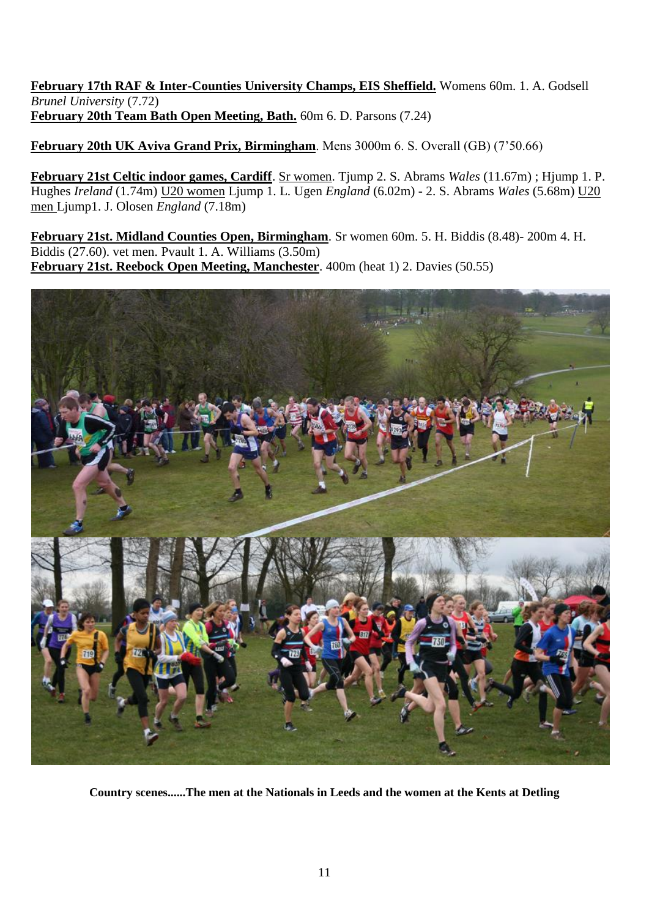**February 17th RAF & Inter-Counties University Champs, EIS Sheffield.** Womens 60m. 1. A. Godsell *Brunel University* (7.72) **February 20th Team Bath Open Meeting, Bath.** 60m 6. D. Parsons (7.24)

**February 20th UK Aviva Grand Prix, Birmingham**. Mens 3000m 6. S. Overall (GB) (7"50.66)

**February 21st Celtic indoor games, Cardiff**. Sr women. Tjump 2. S. Abrams *Wales* (11.67m) ; Hjump 1. P. Hughes *Ireland* (1.74m) U20 women Ljump 1. L. Ugen *England* (6.02m) - 2. S. Abrams *Wales* (5.68m) U20 men Ljump1. J. Olosen *England* (7.18m)

**February 21st. Midland Counties Open, Birmingham**. Sr women 60m. 5. H. Biddis (8.48)- 200m 4. H. Biddis (27.60). vet men. Pvault 1. A. Williams (3.50m) **February 21st. Reebock Open Meeting, Manchester**. 400m (heat 1) 2. Davies (50.55)



**Country scenes......The men at the Nationals in Leeds and the women at the Kents at Detling**